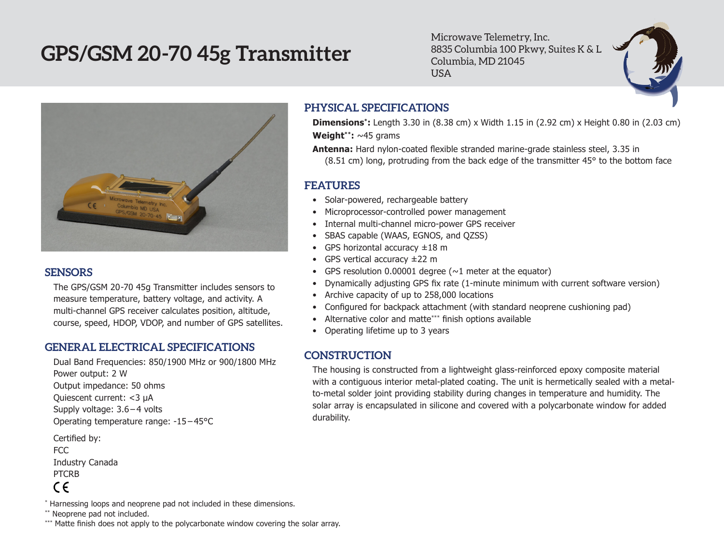# **GPS/GSM 20-70 45g Transmitter**

Microwave Telemetry, Inc. 8835 Columbia 100 Pkwy, Suites K & L Columbia, MD 21045 USA



### **SENSORS**

The GPS/GSM 20-70 45g Transmitter includes sensors to measure temperature, battery voltage, and activity. A multi-channel GPS receiver calculates position, altitude, course, speed, HDOP, VDOP, and number of GPS satellites.

## **GENERAL ELECTRICAL SPECIFICATIONS**

Dual Band Frequencies: 850/1900 MHz or 900/1800 MHz Power output: 2 W Output impedance: 50 ohms Quiescent current: <3 µA Supply voltage: 3.6 – 4 volts Operating temperature range: -15 – 45°C Certified by:

FCC Industry Canada PTCRB  $\epsilon$ 

#### \* Harnessing loops and neoprene pad not included in these dimensions.

\*\* Neoprene pad not included.

\*\*\* Matte finish does not apply to the polycarbonate window covering the solar array.

## **PHYSICAL SPECIFICATIONS**

**Dimensions\*:** Length 3.30 in (8.38 cm) x Width 1.15 in (2.92 cm) x Height 0.80 in (2.03 cm) **Weight\*\*:** ~45 grams

**Antenna:** Hard nylon-coated flexible stranded marine-grade stainless steel, 3.35 in (8.51 cm) long, protruding from the back edge of the transmitter 45° to the bottom face

## **FEATURES**

- Solar-powered, rechargeable battery
- Microprocessor-controlled power management
- Internal multi-channel micro-power GPS receiver
- • SBAS capable (WAAS, EGNOS, and QZSS)
- GPS horizontal accuracy  $\pm 18$  m
- GPS vertical accuracy  $\pm 22$  m
- GPS resolution 0.00001 degree  $(\sim 1$  meter at the equator)
- • Dynamically adjusting GPS fix rate (1-minute minimum with current software version)
- Archive capacity of up to 258,000 locations
- Configured for backpack attachment (with standard neoprene cushioning pad)
- Alternative color and matte\*\*\* finish options available
- • Operating lifetime up to 3 years

## **CONSTRUCTION**

The housing is constructed from a lightweight glass-reinforced epoxy composite material with a contiguous interior metal-plated coating. The unit is hermetically sealed with a metalto-metal solder joint providing stability during changes in temperature and humidity. The solar array is encapsulated in silicone and covered with a polycarbonate window for added durability.